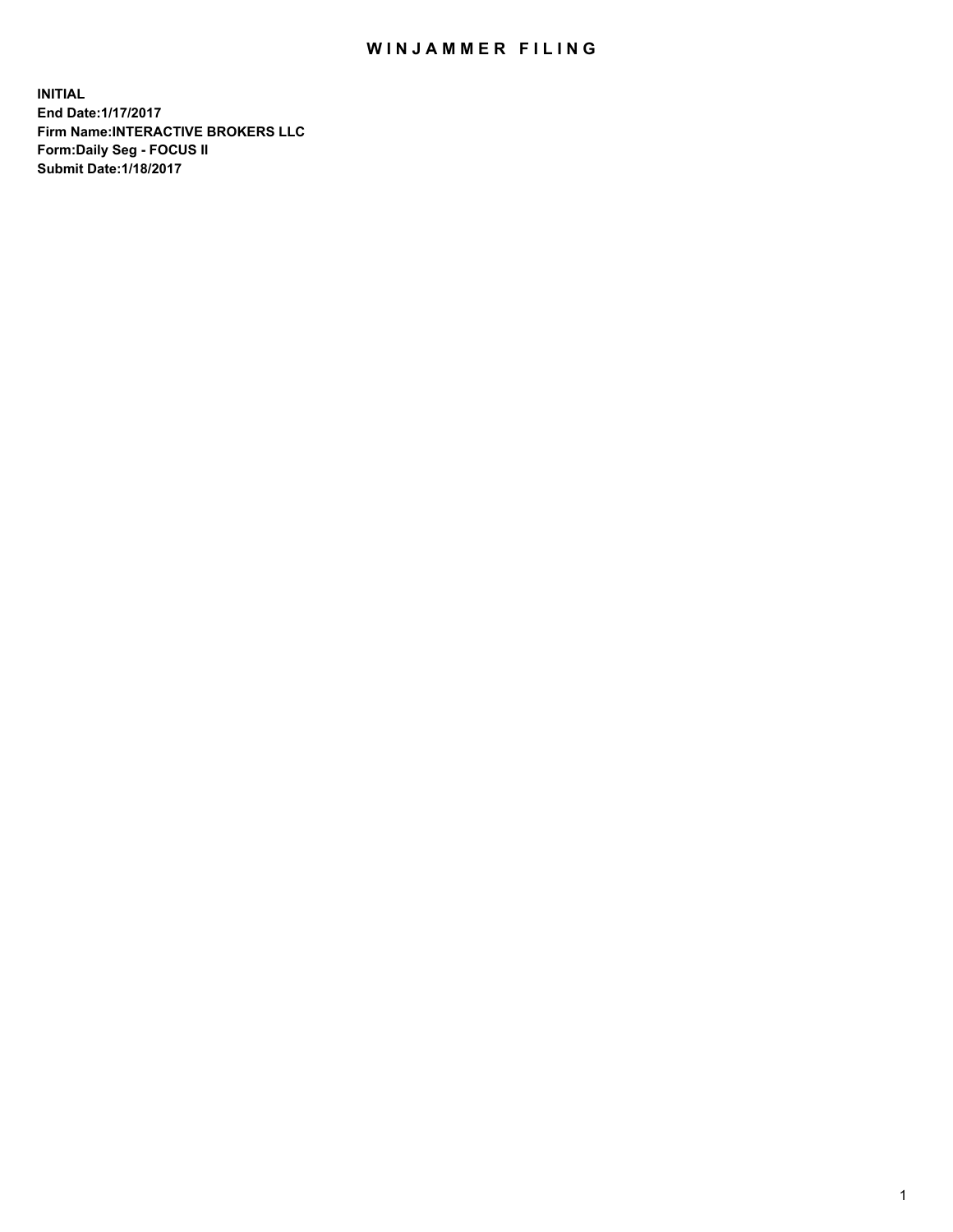## WIN JAMMER FILING

**INITIAL End Date:1/17/2017 Firm Name:INTERACTIVE BROKERS LLC Form:Daily Seg - FOCUS II Submit Date:1/18/2017**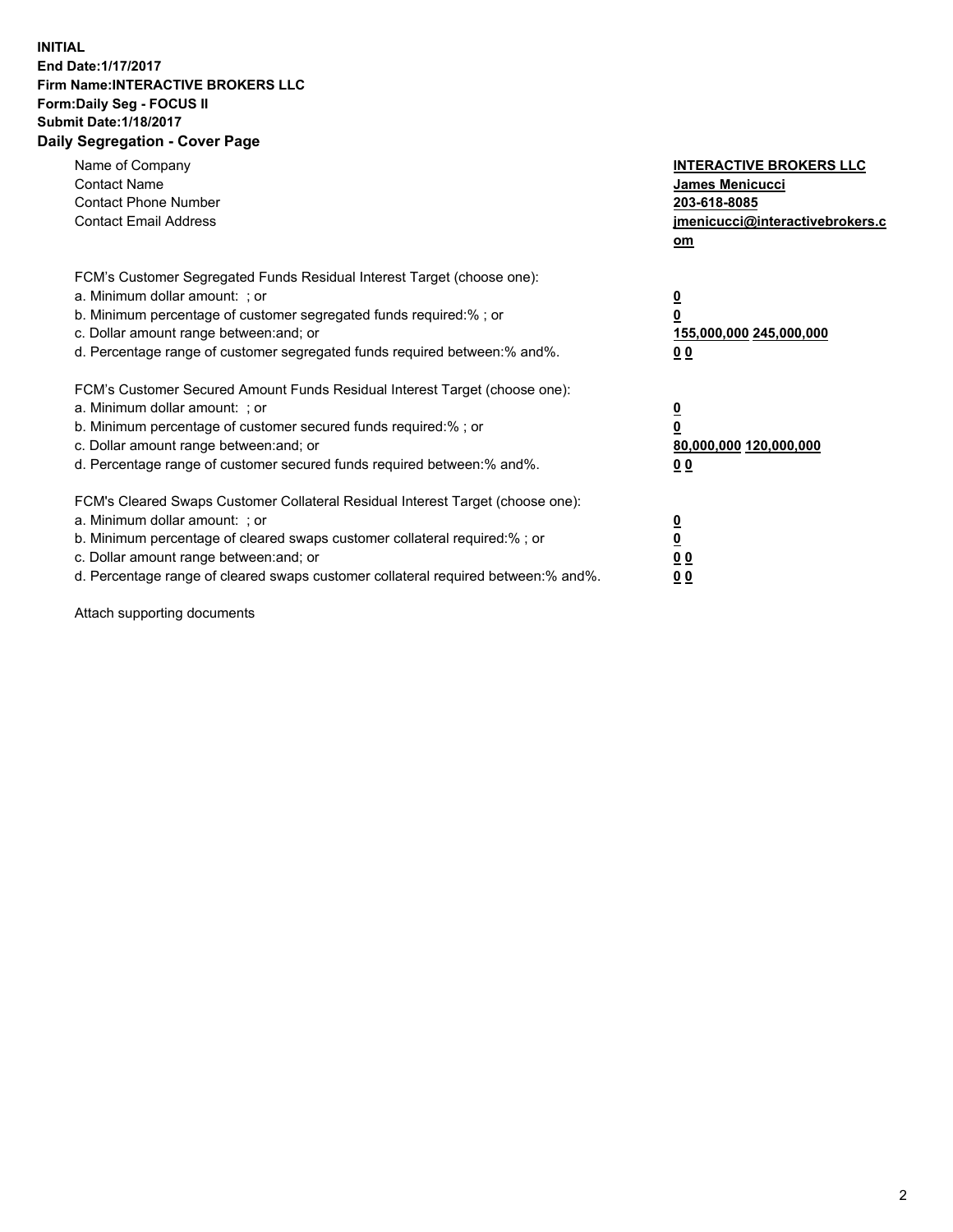## **INITIAL End Date:1/17/2017 Firm Name:INTERACTIVE BROKERS LLC Form:Daily Seg - FOCUS II Submit Date:1/18/2017 Daily Segregation - Cover Page**

| Name of Company<br><b>Contact Name</b><br><b>Contact Phone Number</b><br><b>Contact Email Address</b>                                                                                                                                                                                                                          | <b>INTERACTIVE BROKERS LLC</b><br><b>James Menicucci</b><br>203-618-8085<br>jmenicucci@interactivebrokers.c<br>om |
|--------------------------------------------------------------------------------------------------------------------------------------------------------------------------------------------------------------------------------------------------------------------------------------------------------------------------------|-------------------------------------------------------------------------------------------------------------------|
| FCM's Customer Segregated Funds Residual Interest Target (choose one):<br>a. Minimum dollar amount: ; or<br>b. Minimum percentage of customer segregated funds required:% ; or<br>c. Dollar amount range between: and; or<br>d. Percentage range of customer segregated funds required between: % and %.                       | $\overline{\mathbf{0}}$<br>0<br>155,000,000 245,000,000<br>00                                                     |
| FCM's Customer Secured Amount Funds Residual Interest Target (choose one):<br>a. Minimum dollar amount: ; or<br>b. Minimum percentage of customer secured funds required:%; or<br>c. Dollar amount range between: and; or<br>d. Percentage range of customer secured funds required between: % and %.                          | $\overline{\mathbf{0}}$<br>0<br>80,000,000 120,000,000<br>0 <sub>0</sub>                                          |
| FCM's Cleared Swaps Customer Collateral Residual Interest Target (choose one):<br>a. Minimum dollar amount: ; or<br>b. Minimum percentage of cleared swaps customer collateral required:% ; or<br>c. Dollar amount range between: and; or<br>d. Percentage range of cleared swaps customer collateral required between:% and%. | $\overline{\mathbf{0}}$<br>$\underline{\mathbf{0}}$<br>0 <sub>0</sub><br>0 <sub>0</sub>                           |

Attach supporting documents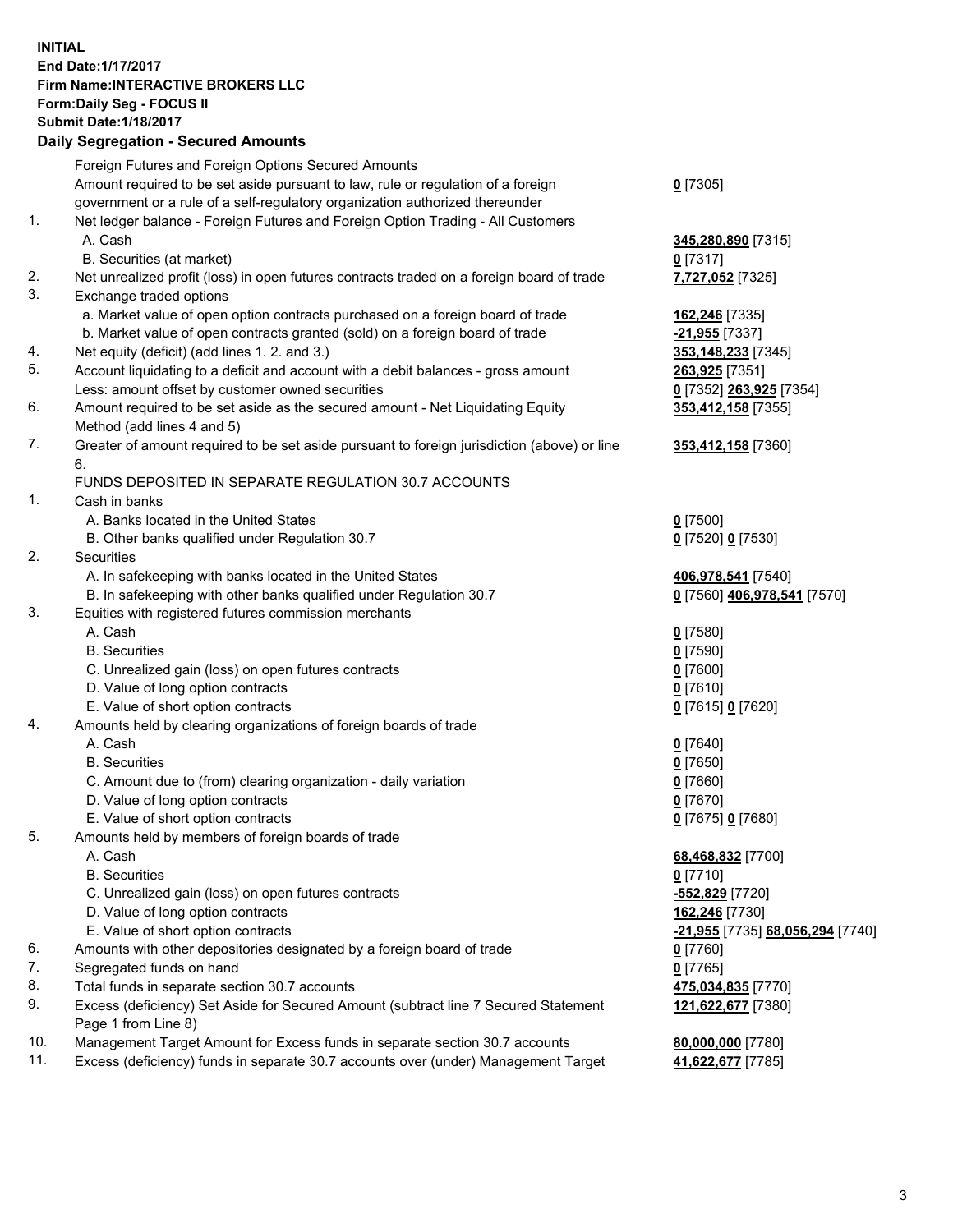## **INITIAL End Date:1/17/2017 Firm Name:INTERACTIVE BROKERS LLC Form:Daily Seg - FOCUS II Submit Date:1/18/2017 Daily Segregation - Secured Amounts**

| Foreign Futures and Foreign Options Secured Amounts                                         |                                                                                                                                                                                                                                                                                                                                                                                                                                                                                                                                                                                                                                                                                                                                                                                                                                                                                                                                                                                                                                                                                                                                                |
|---------------------------------------------------------------------------------------------|------------------------------------------------------------------------------------------------------------------------------------------------------------------------------------------------------------------------------------------------------------------------------------------------------------------------------------------------------------------------------------------------------------------------------------------------------------------------------------------------------------------------------------------------------------------------------------------------------------------------------------------------------------------------------------------------------------------------------------------------------------------------------------------------------------------------------------------------------------------------------------------------------------------------------------------------------------------------------------------------------------------------------------------------------------------------------------------------------------------------------------------------|
| Amount required to be set aside pursuant to law, rule or regulation of a foreign            | $0$ [7305]                                                                                                                                                                                                                                                                                                                                                                                                                                                                                                                                                                                                                                                                                                                                                                                                                                                                                                                                                                                                                                                                                                                                     |
| government or a rule of a self-regulatory organization authorized thereunder                |                                                                                                                                                                                                                                                                                                                                                                                                                                                                                                                                                                                                                                                                                                                                                                                                                                                                                                                                                                                                                                                                                                                                                |
| Net ledger balance - Foreign Futures and Foreign Option Trading - All Customers             |                                                                                                                                                                                                                                                                                                                                                                                                                                                                                                                                                                                                                                                                                                                                                                                                                                                                                                                                                                                                                                                                                                                                                |
| A. Cash                                                                                     | 345,280,890 [7315]                                                                                                                                                                                                                                                                                                                                                                                                                                                                                                                                                                                                                                                                                                                                                                                                                                                                                                                                                                                                                                                                                                                             |
| B. Securities (at market)                                                                   | $0$ [7317]                                                                                                                                                                                                                                                                                                                                                                                                                                                                                                                                                                                                                                                                                                                                                                                                                                                                                                                                                                                                                                                                                                                                     |
| Net unrealized profit (loss) in open futures contracts traded on a foreign board of trade   | 7,727,052 [7325]                                                                                                                                                                                                                                                                                                                                                                                                                                                                                                                                                                                                                                                                                                                                                                                                                                                                                                                                                                                                                                                                                                                               |
| Exchange traded options                                                                     |                                                                                                                                                                                                                                                                                                                                                                                                                                                                                                                                                                                                                                                                                                                                                                                                                                                                                                                                                                                                                                                                                                                                                |
| a. Market value of open option contracts purchased on a foreign board of trade              | 162,246 [7335]                                                                                                                                                                                                                                                                                                                                                                                                                                                                                                                                                                                                                                                                                                                                                                                                                                                                                                                                                                                                                                                                                                                                 |
| b. Market value of open contracts granted (sold) on a foreign board of trade                | -21,955 [7337]                                                                                                                                                                                                                                                                                                                                                                                                                                                                                                                                                                                                                                                                                                                                                                                                                                                                                                                                                                                                                                                                                                                                 |
| Net equity (deficit) (add lines 1.2. and 3.)                                                | 353,148,233 [7345]                                                                                                                                                                                                                                                                                                                                                                                                                                                                                                                                                                                                                                                                                                                                                                                                                                                                                                                                                                                                                                                                                                                             |
| Account liquidating to a deficit and account with a debit balances - gross amount           | 263,925 [7351]                                                                                                                                                                                                                                                                                                                                                                                                                                                                                                                                                                                                                                                                                                                                                                                                                                                                                                                                                                                                                                                                                                                                 |
| Less: amount offset by customer owned securities                                            | 0 [7352] 263,925 [7354]                                                                                                                                                                                                                                                                                                                                                                                                                                                                                                                                                                                                                                                                                                                                                                                                                                                                                                                                                                                                                                                                                                                        |
| Amount required to be set aside as the secured amount - Net Liquidating Equity              | 353,412,158 [7355]                                                                                                                                                                                                                                                                                                                                                                                                                                                                                                                                                                                                                                                                                                                                                                                                                                                                                                                                                                                                                                                                                                                             |
| Method (add lines 4 and 5)                                                                  |                                                                                                                                                                                                                                                                                                                                                                                                                                                                                                                                                                                                                                                                                                                                                                                                                                                                                                                                                                                                                                                                                                                                                |
| Greater of amount required to be set aside pursuant to foreign jurisdiction (above) or line | 353,412,158 [7360]                                                                                                                                                                                                                                                                                                                                                                                                                                                                                                                                                                                                                                                                                                                                                                                                                                                                                                                                                                                                                                                                                                                             |
| 6.                                                                                          |                                                                                                                                                                                                                                                                                                                                                                                                                                                                                                                                                                                                                                                                                                                                                                                                                                                                                                                                                                                                                                                                                                                                                |
| FUNDS DEPOSITED IN SEPARATE REGULATION 30.7 ACCOUNTS                                        |                                                                                                                                                                                                                                                                                                                                                                                                                                                                                                                                                                                                                                                                                                                                                                                                                                                                                                                                                                                                                                                                                                                                                |
| Cash in banks                                                                               |                                                                                                                                                                                                                                                                                                                                                                                                                                                                                                                                                                                                                                                                                                                                                                                                                                                                                                                                                                                                                                                                                                                                                |
| A. Banks located in the United States                                                       | $0$ [7500]                                                                                                                                                                                                                                                                                                                                                                                                                                                                                                                                                                                                                                                                                                                                                                                                                                                                                                                                                                                                                                                                                                                                     |
|                                                                                             | 0 [7520] 0 [7530]                                                                                                                                                                                                                                                                                                                                                                                                                                                                                                                                                                                                                                                                                                                                                                                                                                                                                                                                                                                                                                                                                                                              |
| Securities                                                                                  |                                                                                                                                                                                                                                                                                                                                                                                                                                                                                                                                                                                                                                                                                                                                                                                                                                                                                                                                                                                                                                                                                                                                                |
|                                                                                             | 406,978,541 [7540]                                                                                                                                                                                                                                                                                                                                                                                                                                                                                                                                                                                                                                                                                                                                                                                                                                                                                                                                                                                                                                                                                                                             |
|                                                                                             | 0 [7560] 406,978,541 [7570]                                                                                                                                                                                                                                                                                                                                                                                                                                                                                                                                                                                                                                                                                                                                                                                                                                                                                                                                                                                                                                                                                                                    |
|                                                                                             |                                                                                                                                                                                                                                                                                                                                                                                                                                                                                                                                                                                                                                                                                                                                                                                                                                                                                                                                                                                                                                                                                                                                                |
|                                                                                             | $0$ [7580]                                                                                                                                                                                                                                                                                                                                                                                                                                                                                                                                                                                                                                                                                                                                                                                                                                                                                                                                                                                                                                                                                                                                     |
|                                                                                             | $0$ [7590]                                                                                                                                                                                                                                                                                                                                                                                                                                                                                                                                                                                                                                                                                                                                                                                                                                                                                                                                                                                                                                                                                                                                     |
|                                                                                             | $0$ [7600]                                                                                                                                                                                                                                                                                                                                                                                                                                                                                                                                                                                                                                                                                                                                                                                                                                                                                                                                                                                                                                                                                                                                     |
|                                                                                             | $0$ [7610]                                                                                                                                                                                                                                                                                                                                                                                                                                                                                                                                                                                                                                                                                                                                                                                                                                                                                                                                                                                                                                                                                                                                     |
|                                                                                             | 0 [7615] 0 [7620]                                                                                                                                                                                                                                                                                                                                                                                                                                                                                                                                                                                                                                                                                                                                                                                                                                                                                                                                                                                                                                                                                                                              |
|                                                                                             |                                                                                                                                                                                                                                                                                                                                                                                                                                                                                                                                                                                                                                                                                                                                                                                                                                                                                                                                                                                                                                                                                                                                                |
|                                                                                             | $0$ [7640]                                                                                                                                                                                                                                                                                                                                                                                                                                                                                                                                                                                                                                                                                                                                                                                                                                                                                                                                                                                                                                                                                                                                     |
|                                                                                             | $0$ [7650]                                                                                                                                                                                                                                                                                                                                                                                                                                                                                                                                                                                                                                                                                                                                                                                                                                                                                                                                                                                                                                                                                                                                     |
|                                                                                             | $0$ [7660]                                                                                                                                                                                                                                                                                                                                                                                                                                                                                                                                                                                                                                                                                                                                                                                                                                                                                                                                                                                                                                                                                                                                     |
|                                                                                             | $0$ [7670]                                                                                                                                                                                                                                                                                                                                                                                                                                                                                                                                                                                                                                                                                                                                                                                                                                                                                                                                                                                                                                                                                                                                     |
|                                                                                             | 0 [7675] 0 [7680]                                                                                                                                                                                                                                                                                                                                                                                                                                                                                                                                                                                                                                                                                                                                                                                                                                                                                                                                                                                                                                                                                                                              |
|                                                                                             |                                                                                                                                                                                                                                                                                                                                                                                                                                                                                                                                                                                                                                                                                                                                                                                                                                                                                                                                                                                                                                                                                                                                                |
|                                                                                             | 68,468,832 [7700]                                                                                                                                                                                                                                                                                                                                                                                                                                                                                                                                                                                                                                                                                                                                                                                                                                                                                                                                                                                                                                                                                                                              |
|                                                                                             | $0$ [7710]                                                                                                                                                                                                                                                                                                                                                                                                                                                                                                                                                                                                                                                                                                                                                                                                                                                                                                                                                                                                                                                                                                                                     |
|                                                                                             | $-552,829$ [7720]                                                                                                                                                                                                                                                                                                                                                                                                                                                                                                                                                                                                                                                                                                                                                                                                                                                                                                                                                                                                                                                                                                                              |
|                                                                                             | 162,246 [7730]                                                                                                                                                                                                                                                                                                                                                                                                                                                                                                                                                                                                                                                                                                                                                                                                                                                                                                                                                                                                                                                                                                                                 |
|                                                                                             | -21,955 [7735] 68,056,294 [7740]                                                                                                                                                                                                                                                                                                                                                                                                                                                                                                                                                                                                                                                                                                                                                                                                                                                                                                                                                                                                                                                                                                               |
|                                                                                             | $0$ [7760]                                                                                                                                                                                                                                                                                                                                                                                                                                                                                                                                                                                                                                                                                                                                                                                                                                                                                                                                                                                                                                                                                                                                     |
|                                                                                             | $0$ [7765]                                                                                                                                                                                                                                                                                                                                                                                                                                                                                                                                                                                                                                                                                                                                                                                                                                                                                                                                                                                                                                                                                                                                     |
|                                                                                             | 475,034,835 [7770]                                                                                                                                                                                                                                                                                                                                                                                                                                                                                                                                                                                                                                                                                                                                                                                                                                                                                                                                                                                                                                                                                                                             |
| Page 1 from Line 8)                                                                         | 121,622,677 [7380]                                                                                                                                                                                                                                                                                                                                                                                                                                                                                                                                                                                                                                                                                                                                                                                                                                                                                                                                                                                                                                                                                                                             |
| Management Target Amount for Excess funds in separate section 30.7 accounts                 | 80,000,000 [7780]                                                                                                                                                                                                                                                                                                                                                                                                                                                                                                                                                                                                                                                                                                                                                                                                                                                                                                                                                                                                                                                                                                                              |
| Excess (deficiency) funds in separate 30.7 accounts over (under) Management Target          | 41,622,677 [7785]                                                                                                                                                                                                                                                                                                                                                                                                                                                                                                                                                                                                                                                                                                                                                                                                                                                                                                                                                                                                                                                                                                                              |
|                                                                                             | B. Other banks qualified under Regulation 30.7<br>A. In safekeeping with banks located in the United States<br>B. In safekeeping with other banks qualified under Regulation 30.7<br>Equities with registered futures commission merchants<br>A. Cash<br><b>B.</b> Securities<br>C. Unrealized gain (loss) on open futures contracts<br>D. Value of long option contracts<br>E. Value of short option contracts<br>Amounts held by clearing organizations of foreign boards of trade<br>A. Cash<br><b>B.</b> Securities<br>C. Amount due to (from) clearing organization - daily variation<br>D. Value of long option contracts<br>E. Value of short option contracts<br>Amounts held by members of foreign boards of trade<br>A. Cash<br><b>B.</b> Securities<br>C. Unrealized gain (loss) on open futures contracts<br>D. Value of long option contracts<br>E. Value of short option contracts<br>Amounts with other depositories designated by a foreign board of trade<br>Segregated funds on hand<br>Total funds in separate section 30.7 accounts<br>Excess (deficiency) Set Aside for Secured Amount (subtract line 7 Secured Statement |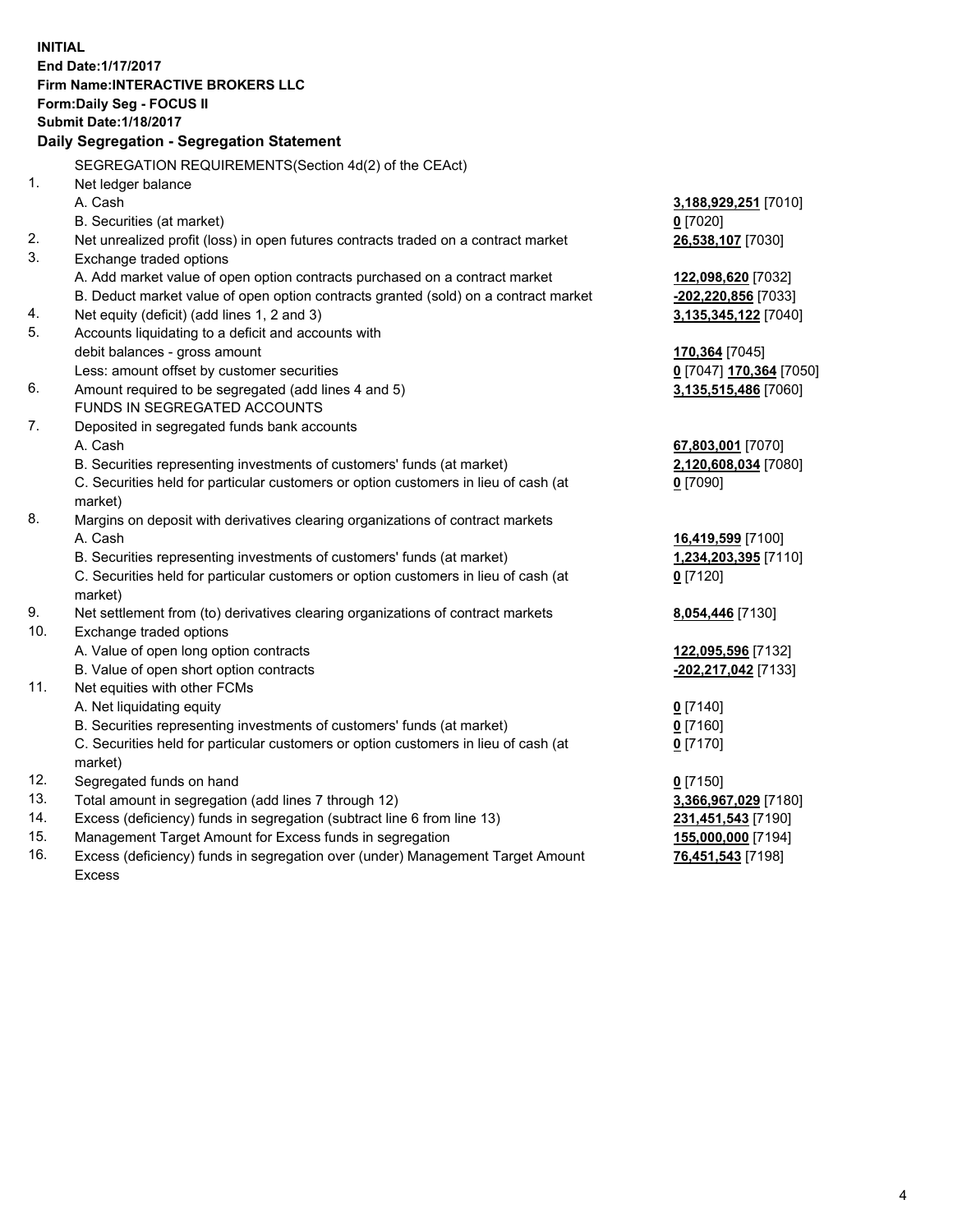**INITIAL End Date:1/17/2017 Firm Name:INTERACTIVE BROKERS LLC Form:Daily Seg - FOCUS II Submit Date:1/18/2017 Daily Segregation - Segregation Statement** SEGREGATION REQUIREMENTS(Section 4d(2) of the CEAct) 1. Net ledger balance A. Cash **3,188,929,251** [7010] B. Securities (at market) **0** [7020] 2. Net unrealized profit (loss) in open futures contracts traded on a contract market **26,538,107** [7030] 3. Exchange traded options A. Add market value of open option contracts purchased on a contract market **122,098,620** [7032] B. Deduct market value of open option contracts granted (sold) on a contract market **-202,220,856** [7033] 4. Net equity (deficit) (add lines 1, 2 and 3) **3,135,345,122** [7040] 5. Accounts liquidating to a deficit and accounts with debit balances - gross amount **170,364** [7045] Less: amount offset by customer securities **0** [7047] **170,364** [7050] 6. Amount required to be segregated (add lines 4 and 5) **3,135,515,486** [7060] FUNDS IN SEGREGATED ACCOUNTS 7. Deposited in segregated funds bank accounts A. Cash **67,803,001** [7070] B. Securities representing investments of customers' funds (at market) **2,120,608,034** [7080] C. Securities held for particular customers or option customers in lieu of cash (at market) **0** [7090] 8. Margins on deposit with derivatives clearing organizations of contract markets A. Cash **16,419,599** [7100] B. Securities representing investments of customers' funds (at market) **1,234,203,395** [7110] C. Securities held for particular customers or option customers in lieu of cash (at market) **0** [7120] 9. Net settlement from (to) derivatives clearing organizations of contract markets **8,054,446** [7130] 10. Exchange traded options A. Value of open long option contracts **122,095,596** [7132] B. Value of open short option contracts **-202,217,042** [7133] 11. Net equities with other FCMs A. Net liquidating equity **0** [7140] B. Securities representing investments of customers' funds (at market) **0** [7160] C. Securities held for particular customers or option customers in lieu of cash (at market) **0** [7170] 12. Segregated funds on hand **0** [7150] 13. Total amount in segregation (add lines 7 through 12) **3,366,967,029** [7180] 14. Excess (deficiency) funds in segregation (subtract line 6 from line 13) **231,451,543** [7190] 15. Management Target Amount for Excess funds in segregation **155,000,000** [7194] **76,451,543** [7198]

16. Excess (deficiency) funds in segregation over (under) Management Target Amount Excess